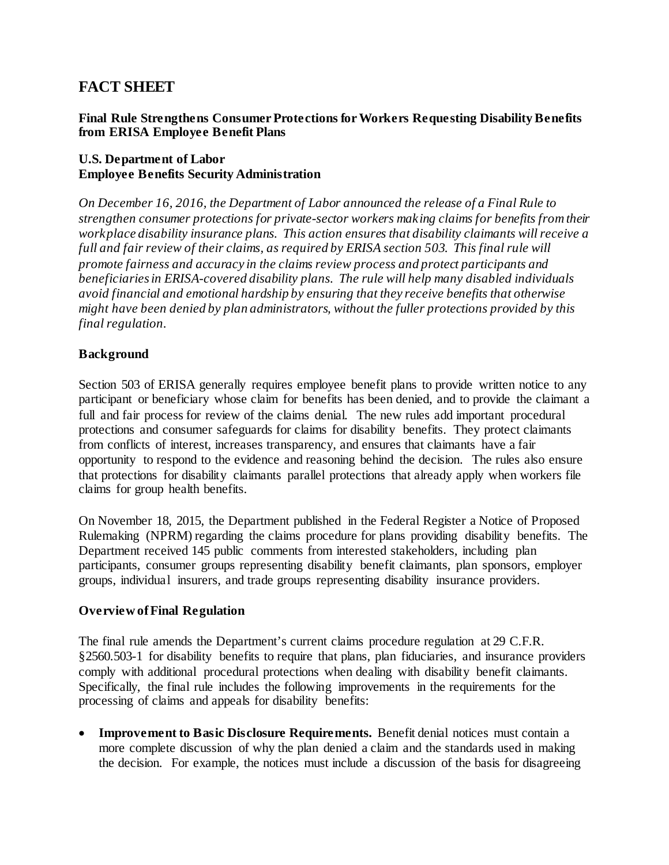# **FACT SHEET**

#### **Final Rule Strengthens Consumer Protections for Workers Requesting Disability Benefits from ERISA Employee Benefit Plans**

## **U.S. Department of Labor Employee Benefits Security Administration**

*On December 16, 2016, the Department of Labor announced the release of a Final Rule to strengthen consumer protections for private-sector workers making claims for benefits from their workplace disability insurance plans. This action ensures that disability claimants will receive a full and fair review of their claims, as required by ERISA section 503. This final rule will promote fairness and accuracy in the claims review process and protect participants and beneficiaries in ERISA-covered disability plans. The rule will help many disabled individuals avoid financial and emotional hardship by ensuring that they receive benefits that otherwise might have been denied by plan administrators, without the fuller protections provided by this final regulation.*

## **Background**

Section 503 of ERISA generally requires employee benefit plans to provide written notice to any participant or beneficiary whose claim for benefits has been denied, and to provide the claimant a full and fair process for review of the claims denial. The new rules add important procedural protections and consumer safeguards for claims for disability benefits. They protect claimants from conflicts of interest, increases transparency, and ensures that claimants have a fair opportunity to respond to the evidence and reasoning behind the decision. The rules also ensure that protections for disability claimants parallel protections that already apply when workers file claims for group health benefits.

On November 18, 2015, the Department published in the Federal Register a Notice of Proposed Rulemaking (NPRM) regarding the claims procedure for plans providing disability benefits. The Department received 145 public comments from interested stakeholders, including plan participants, consumer groups representing disability benefit claimants, plan sponsors, employer groups, individual insurers, and trade groups representing disability insurance providers.

## **Overview of Final Regulation**

The final rule amends the Department's current claims procedure regulation at 29 C.F.R. §2560.503-1 for disability benefits to require that plans, plan fiduciaries, and insurance providers comply with additional procedural protections when dealing with disability benefit claimants. Specifically, the final rule includes the following improvements in the requirements for the processing of claims and appeals for disability benefits:

• **Improvement to Basic Disclosure Requirements.** Benefit denial notices must contain a more complete discussion of why the plan denied a claim and the standards used in making the decision. For example, the notices must include a discussion of the basis for disagreeing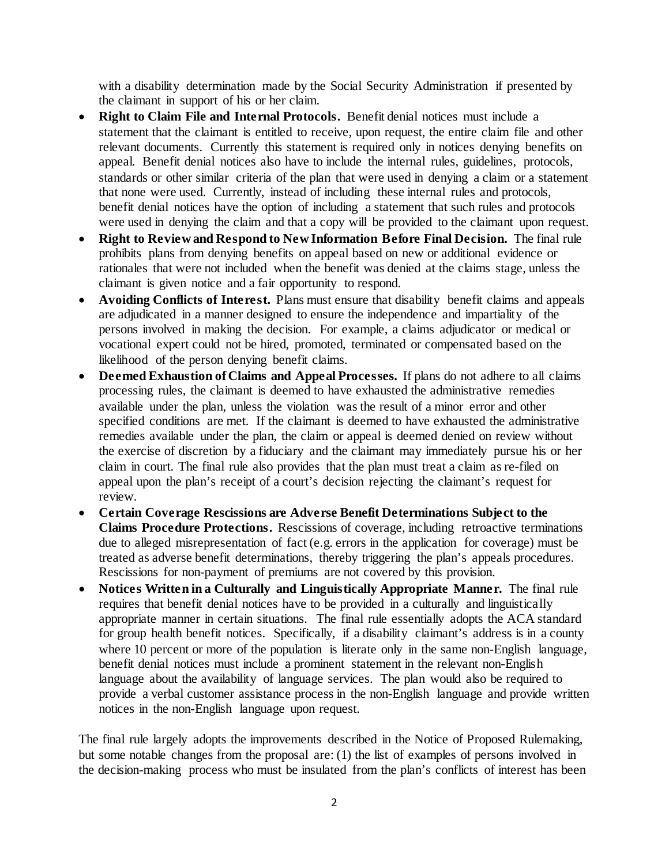with a disability determination made by the Social Security Administration if presented by the claimant in support of his or her claim.

- **Right to Claim File and Internal Protocols.** Benefit denial notices must include a statement that the claimant is entitled to receive, upon request, the entire claim file and other relevant documents. Currently this statement is required only in notices denying benefits on appeal. Benefit denial notices also have to include the internal rules, guidelines, protocols, standards or other similar criteria of the plan that were used in denying a claim or a statement that none were used. Currently, instead of including these internal rules and protocols, benefit denial notices have the option of including a statement that such rules and protocols were used in denying the claim and that a copy will be provided to the claimant upon request.
- **Right to Review and Respond to New Information Before Final Decision.** The final rule prohibits plans from denying benefits on appeal based on new or additional evidence or rationales that were not included when the benefit was denied at the claims stage, unless the claimant is given notice and a fair opportunity to respond.
- **Avoiding Conflicts of Interest.** Plans must ensure that disability benefit claims and appeals are adjudicated in a manner designed to ensure the independence and impartiality of the persons involved in making the decision. For example, a claims adjudicator or medical or vocational expert could not be hired, promoted, terminated or compensated based on the likelihood of the person denying benefit claims.
- **Deemed Exhaustion of Claims and Appeal Processes.** If plans do not adhere to all claims processing rules, the claimant is deemed to have exhausted the administrative remedies available under the plan, unless the violation was the result of a minor error and other specified conditions are met. If the claimant is deemed to have exhausted the administrative remedies available under the plan, the claim or appeal is deemed denied on review without the exercise of discretion by a fiduciary and the claimant may immediately pursue his or her claim in court. The final rule also provides that the plan must treat a claim as re-filed on appeal upon the plan's receipt of a court's decision rejecting the claimant's request for review.
- **Certain Coverage Rescissions are Adverse Benefit Determinations Subject to the Claims Procedure Protections.** Rescissions of coverage, including retroactive terminations due to alleged misrepresentation of fact (e.g. errors in the application for coverage) must be treated as adverse benefit determinations, thereby triggering the plan's appeals procedures. Rescissions for non-payment of premiums are not covered by this provision.
- **Notices Written in a Culturally and Linguistically Appropriate Manner.** The final rule requires that benefit denial notices have to be provided in a culturally and linguistically appropriate manner in certain situations. The final rule essentially adopts the ACA standard for group health benefit notices. Specifically, if a disability claimant's address is in a county where 10 percent or more of the population is literate only in the same non-English language, benefit denial notices must include a prominent statement in the relevant non-English language about the availability of language services. The plan would also be required to provide a verbal customer assistance process in the non-English language and provide written notices in the non-English language upon request.

The final rule largely adopts the improvements described in the Notice of Proposed Rulemaking, but some notable changes from the proposal are: (1) the list of examples of persons involved in the decision-making process who must be insulated from the plan's conflicts of interest has been